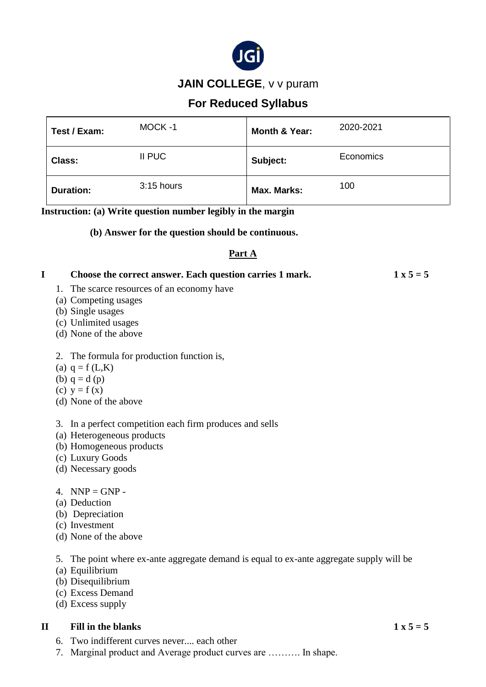

## **JAIN COLLEGE**, v v puram

# **For Reduced Syllabus**

| Test / Exam:     | MOCK-1       | Month & Year: | 2020-2021 |
|------------------|--------------|---------------|-----------|
| Class:           | II PUC       | Subject:      | Economics |
| <b>Duration:</b> | $3:15$ hours | Max. Marks:   | 100       |

**Instruction: (a) Write question number legibly in the margin**

#### **(b) Answer for the question should be continuous.**

#### **Part A**

# **I Choose the correct answer. Each question carries 1 mark.**  $1 \times 5 = 5$

- 1. The scarce resources of an economy have
- (a) Competing usages
- (b) Single usages
- (c) Unlimited usages
- (d) None of the above

#### 2. The formula for production function is,

- (a)  $q = f(L,K)$
- (b)  $q = d(p)$
- (c)  $y = f(x)$
- (d) None of the above

3. In a perfect competition each firm produces and sells

- (a) Heterogeneous products
- (b) Homogeneous products
- (c) Luxury Goods
- (d) Necessary goods

#### 4. NNP =  $GNP$  -

- (a) Deduction
- (b) Depreciation
- (c) Investment
- (d) None of the above

5. The point where ex-ante aggregate demand is equal to ex-ante aggregate supply will be

- (a) Equilibrium
- (b) Disequilibrium
- (c) Excess Demand
- (d) Excess supply

#### **II Fill in the blanks** 1 **x**  $5 = 5$

- 6. Two indifferent curves never.... each other
- 7. Marginal product and Average product curves are ………. In shape.
-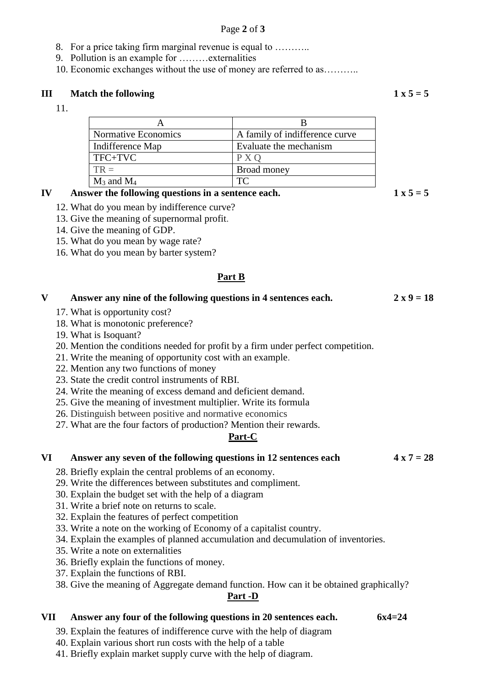#### Page **2** of **3**

- 8. For a price taking firm marginal revenue is equal to ………..
- 9. Pollution is an example for ………externalities
- 10. Economic exchanges without the use of money are referred to as………..

#### **III Match the following**  $1 \times 5 = 5$

11.

| Normative Economics | A family of indifference curve |  |
|---------------------|--------------------------------|--|
| Indifference Map    | Evaluate the mechanism         |  |
| TFC+TVC             | P X O                          |  |
| $TR =$              | Broad money                    |  |
| $M_3$ and $M_4$     | TC                             |  |

#### **IV Answer the following questions in a sentence each.**  $1 \times 5 = 5$

- 12. What do you mean by indifference curve?
- 13. Give the meaning of supernormal profit.
- 14. Give the meaning of GDP.
- 15. What do you mean by wage rate?
- 16. What do you mean by barter system?

#### **Part B**

| Answer any nine of the following questions in 4 sentences each. | $2 \times 9 = 18$ |
|-----------------------------------------------------------------|-------------------|
| 17. What is opportunity cost?                                   |                   |
| 18. What is monotonic preference?                               |                   |

19. What is Isoquant?

20. Mention the conditions needed for profit by a firm under perfect competition.

- 21. Write the meaning of opportunity cost with an example.
- 22. Mention any two functions of money
- 23. State the credit control instruments of RBI.
- 24. Write the meaning of excess demand and deficient demand.
- 25. Give the meaning of investment multiplier. Write its formula
- 26. Distinguish between positive and normative economics
- 27. What are the four factors of production? Mention their rewards.

#### **Part-C**

#### **VI** Answer any seven of the following questions in 12 sentences each  $4 \times 7 = 28$

- 28. Briefly explain the central problems of an economy.
- 29. Write the differences between substitutes and compliment.
- 30. Explain the budget set with the help of a diagram
- 31. Write a brief note on returns to scale.
- 32. Explain the features of perfect competition
- 33. Write a note on the working of Economy of a capitalist country.
- 34. Explain the examples of planned accumulation and decumulation of inventories.
- 35. Write a note on externalities
- 36. Briefly explain the functions of money.
- 37. Explain the functions of RBI.
- 38. Give the meaning of Aggregate demand function. How can it be obtained graphically?

#### **Part -D**

#### **VII Answer any four of the following questions in 20 sentences each. 6x4=24**

- 39. Explain the features of indifference curve with the help of diagram
- 40. Explain various short run costs with the help of a table
- 41. Briefly explain market supply curve with the help of diagram.